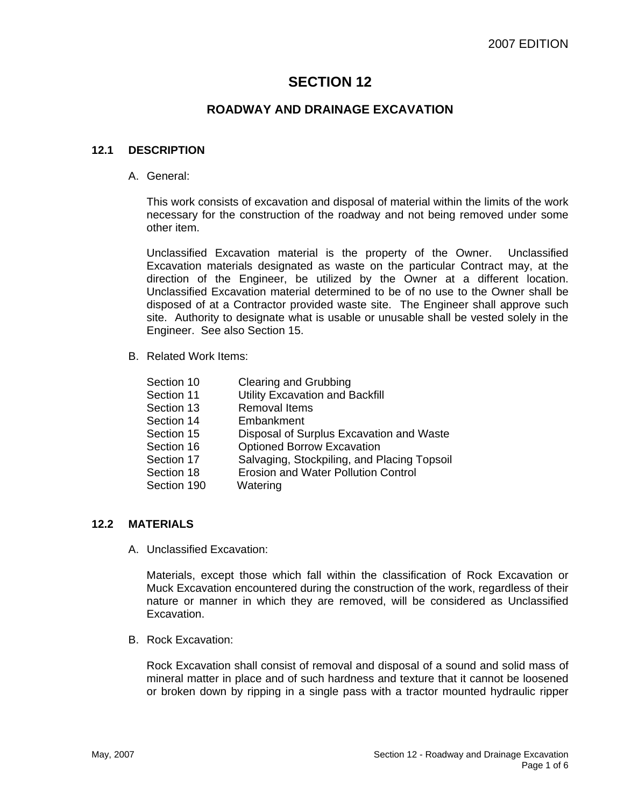# **SECTION 12**

## **ROADWAY AND DRAINAGE EXCAVATION**

#### **12.1 DESCRIPTION**

A. General:

This work consists of excavation and disposal of material within the limits of the work necessary for the construction of the roadway and not being removed under some other item.

Unclassified Excavation material is the property of the Owner. Unclassified Excavation materials designated as waste on the particular Contract may, at the direction of the Engineer, be utilized by the Owner at a different location. Unclassified Excavation material determined to be of no use to the Owner shall be disposed of at a Contractor provided waste site. The Engineer shall approve such site. Authority to designate what is usable or unusable shall be vested solely in the Engineer. See also Section 15.

B. Related Work Items:

| Section 10  | <b>Clearing and Grubbing</b>                |
|-------------|---------------------------------------------|
| Section 11  | <b>Utility Excavation and Backfill</b>      |
| Section 13  | <b>Removal Items</b>                        |
| Section 14  | Embankment                                  |
| Section 15  | Disposal of Surplus Excavation and Waste    |
| Section 16  | <b>Optioned Borrow Excavation</b>           |
| Section 17  | Salvaging, Stockpiling, and Placing Topsoil |
| Section 18  | <b>Erosion and Water Pollution Control</b>  |
| Section 190 | Watering                                    |
|             |                                             |

### **12.2 MATERIALS**

A. Unclassified Excavation:

Materials, except those which fall within the classification of Rock Excavation or Muck Excavation encountered during the construction of the work, regardless of their nature or manner in which they are removed, will be considered as Unclassified Excavation.

B. Rock Excavation:

Rock Excavation shall consist of removal and disposal of a sound and solid mass of mineral matter in place and of such hardness and texture that it cannot be loosened or broken down by ripping in a single pass with a tractor mounted hydraulic ripper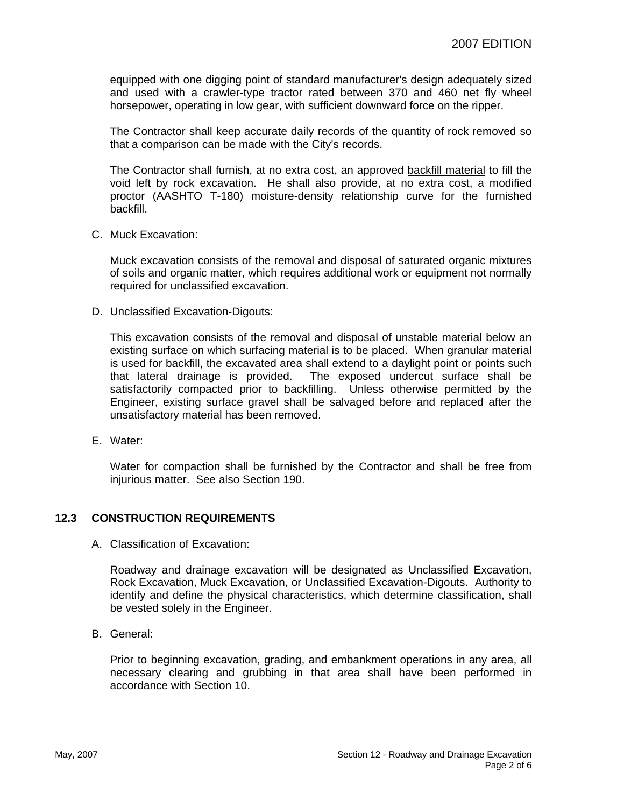equipped with one digging point of standard manufacturer's design adequately sized and used with a crawler-type tractor rated between 370 and 460 net fly wheel horsepower, operating in low gear, with sufficient downward force on the ripper.

The Contractor shall keep accurate daily records of the quantity of rock removed so that a comparison can be made with the City's records.

The Contractor shall furnish, at no extra cost, an approved backfill material to fill the void left by rock excavation. He shall also provide, at no extra cost, a modified proctor (AASHTO T-180) moisture-density relationship curve for the furnished backfill.

C. Muck Excavation:

Muck excavation consists of the removal and disposal of saturated organic mixtures of soils and organic matter, which requires additional work or equipment not normally required for unclassified excavation.

D. Unclassified Excavation-Digouts:

This excavation consists of the removal and disposal of unstable material below an existing surface on which surfacing material is to be placed. When granular material is used for backfill, the excavated area shall extend to a daylight point or points such that lateral drainage is provided. The exposed undercut surface shall be satisfactorily compacted prior to backfilling. Unless otherwise permitted by the Engineer, existing surface gravel shall be salvaged before and replaced after the unsatisfactory material has been removed.

E. Water:

Water for compaction shall be furnished by the Contractor and shall be free from injurious matter. See also Section 190.

### **12.3 CONSTRUCTION REQUIREMENTS**

A. Classification of Excavation:

Roadway and drainage excavation will be designated as Unclassified Excavation, Rock Excavation, Muck Excavation, or Unclassified Excavation-Digouts. Authority to identify and define the physical characteristics, which determine classification, shall be vested solely in the Engineer.

B. General:

Prior to beginning excavation, grading, and embankment operations in any area, all necessary clearing and grubbing in that area shall have been performed in accordance with Section 10.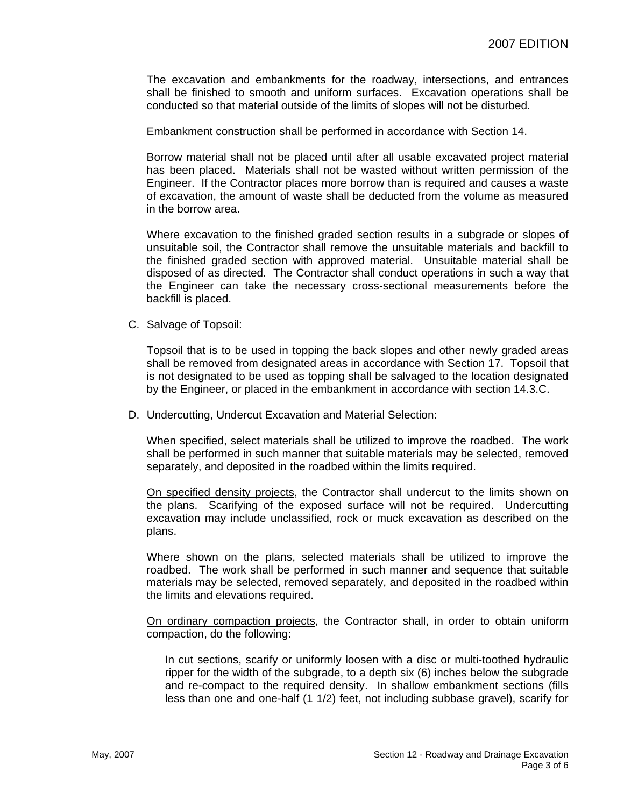The excavation and embankments for the roadway, intersections, and entrances shall be finished to smooth and uniform surfaces. Excavation operations shall be conducted so that material outside of the limits of slopes will not be disturbed.

Embankment construction shall be performed in accordance with Section 14.

Borrow material shall not be placed until after all usable excavated project material has been placed. Materials shall not be wasted without written permission of the Engineer. If the Contractor places more borrow than is required and causes a waste of excavation, the amount of waste shall be deducted from the volume as measured in the borrow area.

Where excavation to the finished graded section results in a subgrade or slopes of unsuitable soil, the Contractor shall remove the unsuitable materials and backfill to the finished graded section with approved material. Unsuitable material shall be disposed of as directed. The Contractor shall conduct operations in such a way that the Engineer can take the necessary cross-sectional measurements before the backfill is placed.

C. Salvage of Topsoil:

Topsoil that is to be used in topping the back slopes and other newly graded areas shall be removed from designated areas in accordance with Section 17. Topsoil that is not designated to be used as topping shall be salvaged to the location designated by the Engineer, or placed in the embankment in accordance with section 14.3.C.

D. Undercutting, Undercut Excavation and Material Selection:

When specified, select materials shall be utilized to improve the roadbed. The work shall be performed in such manner that suitable materials may be selected, removed separately, and deposited in the roadbed within the limits required.

On specified density projects, the Contractor shall undercut to the limits shown on the plans. Scarifying of the exposed surface will not be required. Undercutting excavation may include unclassified, rock or muck excavation as described on the plans.

Where shown on the plans, selected materials shall be utilized to improve the roadbed. The work shall be performed in such manner and sequence that suitable materials may be selected, removed separately, and deposited in the roadbed within the limits and elevations required.

On ordinary compaction projects, the Contractor shall, in order to obtain uniform compaction, do the following:

In cut sections, scarify or uniformly loosen with a disc or multi-toothed hydraulic ripper for the width of the subgrade, to a depth six (6) inches below the subgrade and re-compact to the required density. In shallow embankment sections (fills less than one and one-half (1 1/2) feet, not including subbase gravel), scarify for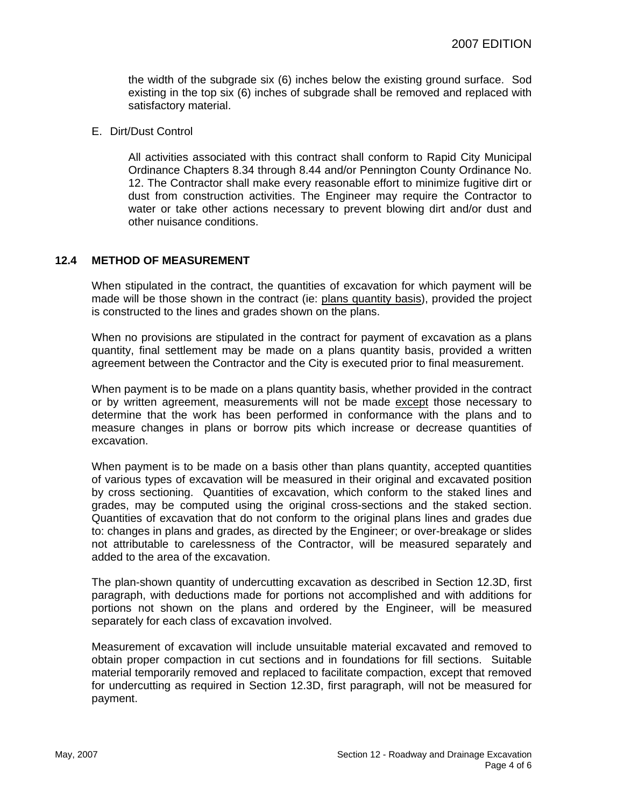the width of the subgrade six (6) inches below the existing ground surface. Sod existing in the top six (6) inches of subgrade shall be removed and replaced with satisfactory material.

E. Dirt/Dust Control

All activities associated with this contract shall conform to Rapid City Municipal Ordinance Chapters 8.34 through 8.44 and/or Pennington County Ordinance No. 12. The Contractor shall make every reasonable effort to minimize fugitive dirt or dust from construction activities. The Engineer may require the Contractor to water or take other actions necessary to prevent blowing dirt and/or dust and other nuisance conditions.

## **12.4 METHOD OF MEASUREMENT**

When stipulated in the contract, the quantities of excavation for which payment will be made will be those shown in the contract (ie: plans quantity basis), provided the project is constructed to the lines and grades shown on the plans.

When no provisions are stipulated in the contract for payment of excavation as a plans quantity, final settlement may be made on a plans quantity basis, provided a written agreement between the Contractor and the City is executed prior to final measurement.

When payment is to be made on a plans quantity basis, whether provided in the contract or by written agreement, measurements will not be made except those necessary to determine that the work has been performed in conformance with the plans and to measure changes in plans or borrow pits which increase or decrease quantities of excavation.

When payment is to be made on a basis other than plans quantity, accepted quantities of various types of excavation will be measured in their original and excavated position by cross sectioning. Quantities of excavation, which conform to the staked lines and grades, may be computed using the original cross-sections and the staked section. Quantities of excavation that do not conform to the original plans lines and grades due to: changes in plans and grades, as directed by the Engineer; or over-breakage or slides not attributable to carelessness of the Contractor, will be measured separately and added to the area of the excavation.

The plan-shown quantity of undercutting excavation as described in Section 12.3D, first paragraph, with deductions made for portions not accomplished and with additions for portions not shown on the plans and ordered by the Engineer, will be measured separately for each class of excavation involved.

Measurement of excavation will include unsuitable material excavated and removed to obtain proper compaction in cut sections and in foundations for fill sections. Suitable material temporarily removed and replaced to facilitate compaction, except that removed for undercutting as required in Section 12.3D, first paragraph, will not be measured for payment.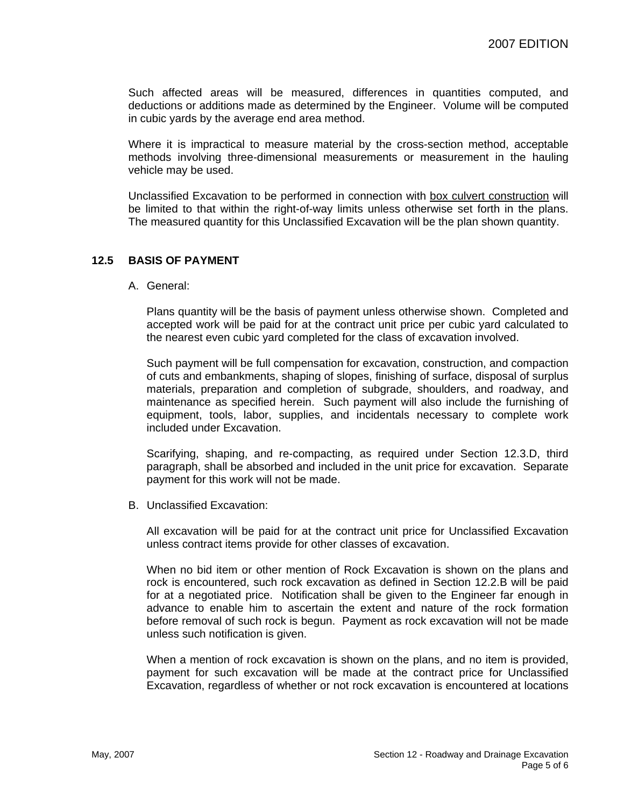Such affected areas will be measured, differences in quantities computed, and deductions or additions made as determined by the Engineer. Volume will be computed in cubic yards by the average end area method.

Where it is impractical to measure material by the cross-section method, acceptable methods involving three-dimensional measurements or measurement in the hauling vehicle may be used.

Unclassified Excavation to be performed in connection with box culvert construction will be limited to that within the right-of-way limits unless otherwise set forth in the plans. The measured quantity for this Unclassified Excavation will be the plan shown quantity.

### **12.5 BASIS OF PAYMENT**

A. General:

Plans quantity will be the basis of payment unless otherwise shown. Completed and accepted work will be paid for at the contract unit price per cubic yard calculated to the nearest even cubic yard completed for the class of excavation involved.

Such payment will be full compensation for excavation, construction, and compaction of cuts and embankments, shaping of slopes, finishing of surface, disposal of surplus materials, preparation and completion of subgrade, shoulders, and roadway, and maintenance as specified herein. Such payment will also include the furnishing of equipment, tools, labor, supplies, and incidentals necessary to complete work included under Excavation.

Scarifying, shaping, and re-compacting, as required under Section 12.3.D, third paragraph, shall be absorbed and included in the unit price for excavation. Separate payment for this work will not be made.

B. Unclassified Excavation:

All excavation will be paid for at the contract unit price for Unclassified Excavation unless contract items provide for other classes of excavation.

When no bid item or other mention of Rock Excavation is shown on the plans and rock is encountered, such rock excavation as defined in Section 12.2.B will be paid for at a negotiated price. Notification shall be given to the Engineer far enough in advance to enable him to ascertain the extent and nature of the rock formation before removal of such rock is begun. Payment as rock excavation will not be made unless such notification is given.

When a mention of rock excavation is shown on the plans, and no item is provided, payment for such excavation will be made at the contract price for Unclassified Excavation, regardless of whether or not rock excavation is encountered at locations